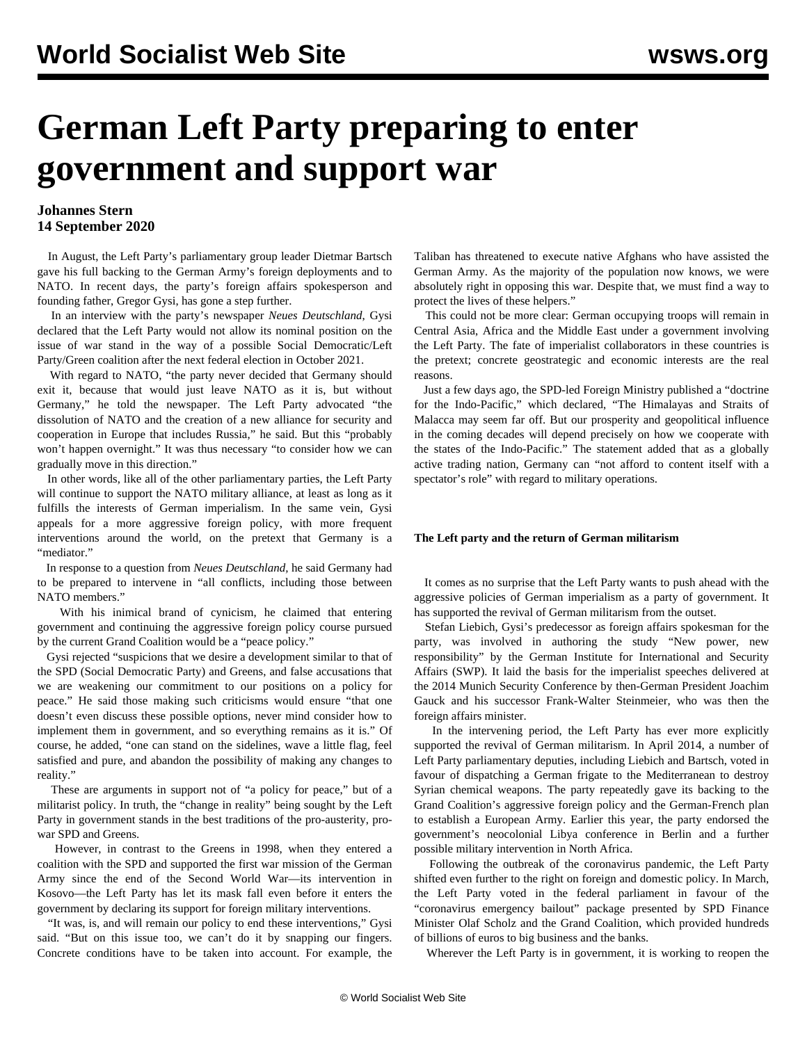# **German Left Party preparing to enter government and support war**

### **Johannes Stern 14 September 2020**

 In August, the Left Party's parliamentary group leader Dietmar Bartsch gave his [full backing](/en/articles/2020/08/21/left-a21.html) to the German Army's foreign deployments and to NATO. In recent days, the party's foreign affairs spokesperson and founding father, Gregor Gysi, has gone a step further.

 In an interview with the party's newspaper *Neues Deutschland*, Gysi declared that the Left Party would not allow its nominal position on the issue of war stand in the way of a possible Social Democratic/Left Party/Green coalition after the next federal election in October 2021.

 With regard to NATO, "the party never decided that Germany should exit it, because that would just leave NATO as it is, but without Germany," he told the newspaper. The Left Party advocated "the dissolution of NATO and the creation of a new alliance for security and cooperation in Europe that includes Russia," he said. But this "probably won't happen overnight." It was thus necessary "to consider how we can gradually move in this direction."

 In other words, like all of the other parliamentary parties, the Left Party will continue to support the NATO military alliance, at least as long as it fulfills the interests of German imperialism. In the same vein, Gysi appeals for a more aggressive foreign policy, with more frequent interventions around the world, on the pretext that Germany is a "mediator."

 In response to a question from *Neues Deutschland,* he said Germany had to be prepared to intervene in "all conflicts, including those between NATO members."

 With his inimical brand of cynicism, he claimed that entering government and continuing the aggressive foreign policy course pursued by the current Grand Coalition would be a "peace policy."

 Gysi rejected "suspicions that we desire a development similar to that of the SPD (Social Democratic Party) and Greens, and false accusations that we are weakening our commitment to our positions on a policy for peace." He said those making such criticisms would ensure "that one doesn't even discuss these possible options, never mind consider how to implement them in government, and so everything remains as it is." Of course, he added, "one can stand on the sidelines, wave a little flag, feel satisfied and pure, and abandon the possibility of making any changes to reality."

 These are arguments in support not of "a policy for peace," but of a militarist policy. In truth, the "change in reality" being sought by the Left Party in government stands in the best traditions of the pro-austerity, prowar SPD and Greens.

 However, in contrast to the Greens in 1998, when they entered a coalition with the SPD and supported the first war mission of the German Army since the end of the Second World War—its intervention in Kosovo—the Left Party has let its mask fall even before it enters the government by declaring its support for foreign military interventions.

 "It was, is, and will remain our policy to end these interventions," Gysi said. "But on this issue too, we can't do it by snapping our fingers. Concrete conditions have to be taken into account. For example, the

Taliban has threatened to execute native Afghans who have assisted the German Army. As the majority of the population now knows, we were absolutely right in opposing this war. Despite that, we must find a way to protect the lives of these helpers."

 This could not be more clear: German occupying troops will remain in Central Asia, Africa and the Middle East under a government involving the Left Party. The fate of imperialist collaborators in these countries is the pretext; concrete geostrategic and economic interests are the real reasons.

 Just a few days ago, the SPD-led Foreign Ministry published a "doctrine for the Indo-Pacific," which declared, "The Himalayas and Straits of Malacca may seem far off. But our prosperity and geopolitical influence in the coming decades will depend precisely on how we cooperate with the states of the Indo-Pacific." The statement added that as a globally active trading nation, Germany can "not afford to content itself with a spectator's role" with regard to military operations.

#### **The Left party and the return of German militarism**

 It comes as no surprise that the Left Party wants to push ahead with the aggressive policies of German imperialism as a party of government. It has supported the [revival of German militarism](file:///home/don/SEP/proofed/2020-09-14/How%20the%20revival%20of%20German%20militarism%20was%20prepared) from the outset.

 Stefan Liebich, Gysi's predecessor as foreign affairs spokesman for the party, was involved in authoring the study "New power, new responsibility" by the German Institute for International and Security Affairs (SWP). It laid the basis for the imperialist speeches delivered at the 2014 Munich Security Conference by then-German President Joachim Gauck and his successor Frank-Walter Steinmeier, who was then the foreign affairs minister.

 In the intervening period, the Left Party has ever more explicitly supported the revival of German militarism. In April 2014, a number of Left Party parliamentary deputies, including Liebich and Bartsch, voted in favour of [dispatching a German frigate](/en/articles/2014/04/10/left-a10.html) to the Mediterranean to destroy Syrian chemical weapons. The party repeatedly gave its [backing](/en/articles/2017/12/13/left-d13.html) to the Grand Coalition's aggressive foreign policy and the German-French plan to [establish a European Army](/en/articles/2018/11/24/left-n24.html). Earlier this year, the party [endorsed](/en/articles/2020/01/24/liby-j24.html) the government's [neocolonial Libya conference](/en/articles/2020/01/18/pers-j18.html) in Berlin and a further possible military intervention in North Africa.

 Following the outbreak of the coronavirus pandemic, the Left Party shifted even further to the right on foreign and domestic policy. In March, the Left Party [voted](/en/articles/2020/04/22/left-a22.html) in the federal parliament in favour of the "coronavirus emergency bailout" package presented by SPD Finance Minister Olaf Scholz and the Grand Coalition, which provided hundreds of billions of euros to big business and the banks.

Wherever the Left Party is in government, it is working to reopen the